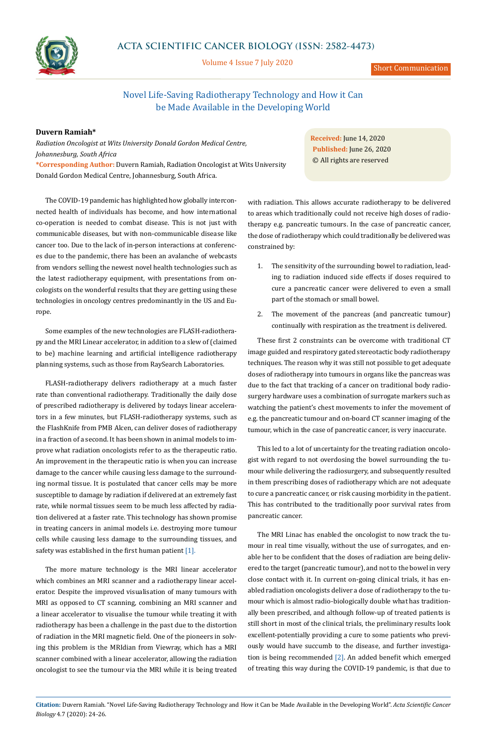

## **ACTA SCIENTIFIC CANCER BIOLOGY (ISSN: 2582-4473)**

Volume 4 Issue 7 July 2020

Short Communication

# Novel Life-Saving Radiotherapy Technology and How it Can be Made Available in the Developing World

### **Duvern Ramiah\***

*Radiation Oncologist at Wits University Donald Gordon Medical Centre, Johannesburg, South Africa*  **\*Corresponding Author:** Duvern Ramiah, Radiation Oncologist at Wits University Donald Gordon Medical Centre, Johannesburg, South Africa.

**Received:** June 14, 2020 **Published:** June 26, 2020 © All rights are reserved

The COVID-19 pandemic has highlighted how globally interconnected health of individuals has become, and how international co-operation is needed to combat disease. This is not just with communicable diseases, but with non-communicable disease like cancer too. Due to the lack of in-person interactions at conferences due to the pandemic, there has been an avalanche of webcasts from vendors selling the newest novel health technologies such as the latest radiotherapy equipment, with presentations from oncologists on the wonderful results that they are getting using these technologies in oncology centres predominantly in the US and Europe.

Some examples of the new technologies are FLASH-radiotherapy and the MRI Linear accelerator, in addition to a slew of (claimed to be) machine learning and artificial intelligence radiotherapy planning systems, such as those from RaySearch Laboratories.

FLASH-radiotherapy delivers radiotherapy at a much faster rate than conventional radiotherapy. Traditionally the daily dose of prescribed radiotherapy is delivered by todays linear accelerators in a few minutes, but FLASH-radiotherapy systems, such as the FlashKnife from PMB Alcen, can deliver doses of radiotherapy in a fraction of a second. It has been shown in animal models to improve what radiation oncologists refer to as the therapeutic ratio. An improvement in the therapeutic ratio is when you can increase damage to the cancer while causing less damage to the surrounding normal tissue. It is postulated that cancer cells may be more susceptible to damage by radiation if delivered at an extremely fast rate, while normal tissues seem to be much less affected by radiation delivered at a faster rate. This technology has shown promise in treating cancers in animal models i.e. destroying more tumour cells while causing less damage to the surrounding tissues, and safety was established in the first human patient [1].

The more mature technology is the MRI linear accelerator which combines an MRI scanner and a radiotherapy linear accelerator. Despite the improved visualisation of many tumours with MRI as opposed to CT scanning, combining an MRI scanner and a linear accelerator to visualise the tumour while treating it with radiotherapy has been a challenge in the past due to the distortion of radiation in the MRI magnetic field. One of the pioneers in solving this problem is the MRIdian from Viewray, which has a MRI scanner combined with a linear accelerator, allowing the radiation oncologist to see the tumour via the MRI while it is being treated

with radiation. This allows accurate radiotherapy to be delivered to areas which traditionally could not receive high doses of radiotherapy e.g. pancreatic tumours. In the case of pancreatic cancer, the dose of radiotherapy which could traditionally be delivered was constrained by:

- 1. The sensitivity of the surrounding bowel to radiation, leading to radiation induced side effects if doses required to cure a pancreatic cancer were delivered to even a small part of the stomach or small bowel.
- 2. The movement of the pancreas (and pancreatic tumour) continually with respiration as the treatment is delivered.

These first 2 constraints can be overcome with traditional CT image guided and respiratory gated stereotactic body radiotherapy techniques. The reason why it was still not possible to get adequate doses of radiotherapy into tumours in organs like the pancreas was due to the fact that tracking of a cancer on traditional body radiosurgery hardware uses a combination of surrogate markers such as watching the patient's chest movements to infer the movement of e.g. the pancreatic tumour and on-board CT scanner imaging of the tumour, which in the case of pancreatic cancer, is very inaccurate.

This led to a lot of uncertainty for the treating radiation oncologist with regard to not overdosing the bowel surrounding the tumour while delivering the radiosurgery, and subsequently resulted in them prescribing doses of radiotherapy which are not adequate to cure a pancreatic cancer, or risk causing morbidity in the patient. This has contributed to the traditionally poor survival rates from pancreatic cancer.

The MRI Linac has enabled the oncologist to now track the tumour in real time visually, without the use of surrogates, and enable her to be confident that the doses of radiation are being delivered to the target (pancreatic tumour), and not to the bowel in very close contact with it. In current on-going clinical trials, it has enabled radiation oncologists deliver a dose of radiotherapy to the tumour which is almost radio-biologically double what has traditionally been prescribed, and although follow-up of treated patients is still short in most of the clinical trials, the preliminary results look excellent-potentially providing a cure to some patients who previously would have succumb to the disease, and further investigation is being recommended [2]. An added benefit which emerged of treating this way during the COVID-19 pandemic, is that due to

**Citation:** Duvern Ramiah*.* "Novel Life-Saving Radiotherapy Technology and How it Can be Made Available in the Developing World". *Acta Scientific Cancer Biology* 4.7 (2020): 24-26.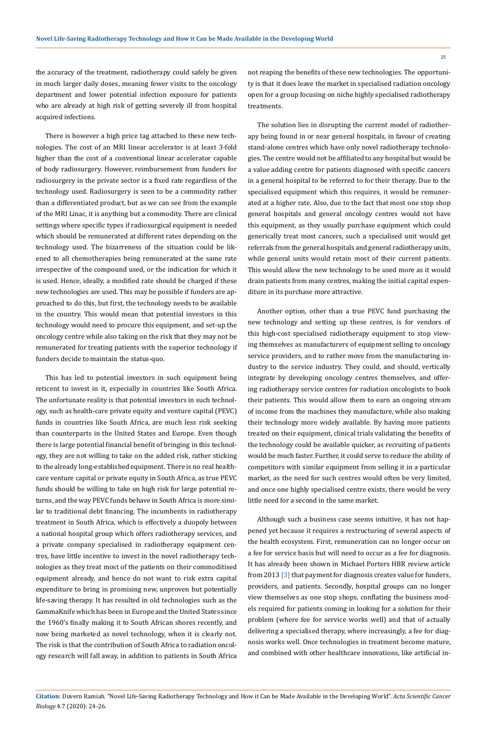$25$ 

the accuracy of the treatment, radiotherapy could safely be given in much larger daily doses, meaning fewer visits to the oncology department and lower potential infection exposure for patients who are already at high risk of getting severely ill from hospital acquired infections.

There is however a high price tag attached to these new technologies. The cost of an MRI linear accelerator is at least 3-fold higher than the cost of a conventional linear accelerator capable of body radiosurgery. However, reimbursement from funders for radiosurgery in the private sector is a fixed rate regardless of the technology used. Radiosurgery is seen to be a commodity rather than a differentiated product, but as we can see from the example of the MRI Linac, it is anything but a commodity. There are clinical settings where specific types if radiosurgical equipment is needed which should be remunerated at different rates depending on the technology used. The bizarreness of the situation could be likened to all chemotherapies being remunerated at the same rate irrespective of the compound used, or the indication for which it is used. Hence, ideally, a modified rate should be charged if these new technologies are used. This may be possible if funders are approached to do this, but first, the technology needs to be available in the country. This would mean that potential investors in this technology would need to procure this equipment, and set-up the oncology centre while also taking on the risk that they may not be remunerated for treating patients with the superior technology if funders decide to maintain the status-quo.

This has led to potential investors in such equipment being reticent to invest in it, especially in countries like South Africa. The unfortunate reality is that potential investors in such technology, such as health-care private equity and venture capital (PEVC) funds in countries like South Africa, are much less risk seeking than counterparts in the United States and Europe. Even though there is large potential financial benefit of bringing in this technology, they are not willing to take on the added risk, rather sticking to the already long-established equipment. There is no real healthcare venture capital or private equity in South Africa, as true PEVC funds should be willing to take on high risk for large potential returns, and the way PEVC funds behave in South Africa is more similar to traditional debt financing. The incumbents in radiotherapy treatment in South Africa, which is effectively a duopoly between a national hospital group which offers radiotherapy services, and a private company specialised in radiotherapy equipment centres, have little incentive to invest in the novel radiotherapy technologies as they treat most of the patients on their commoditised equipment already, and hence do not want to risk extra capital expenditure to bring in promising new, unproven but potentially life-saving therapy. It has resulted in old technologies such as the GammaKnife which has been in Europe and the United States since the 1960's finally making it to South African shores recently, and now being marketed as novel technology, when it is clearly not. The risk is that the contribution of South Africa to radiation oncology research will fall away, in addition to patients in South Africa not reaping the benefits of these new technologies. The opportunity is that it does leave the market in specialised radiation oncology open for a group focusing on niche highly specialised radiotherapy treatments.

The solution lies in disrupting the current model of radiotherapy being found in or near general hospitals, in favour of creating stand-alone centres which have only novel radiotherapy technologies. The centre would not be affiliated to any hospital but would be a value adding centre for patients diagnosed with specific cancers in a general hospital to be referred to for their therapy. Due to the specialised equipment which this requires, it would be remunerated at a higher rate. Also, due to the fact that most one stop shop general hospitals and general oncology centres would not have this equipment, as they usually purchase equipment which could generically treat most cancers, such a specialised unit would get referrals from the general hospitals and general radiotherapy units, while general units would retain most of their current patients. This would allow the new technology to be used more as it would drain patients from many centres, making the initial capital expenditure in its purchase more attractive.

Another option, other than a true PEVC fund purchasing the new technology and setting up these centres, is for vendors of this high-cost specialised radiotherapy equipment to stop viewing themselves as manufacturers of equipment selling to oncology service providers, and to rather move from the manufacturing industry to the service industry. They could, and should, vertically integrate by developing oncology centres themselves, and offering radiotherapy service centres for radiation oncologists to book their patients. This would allow them to earn an ongoing stream of income from the machines they manufacture, while also making their technology more widely available. By having more patients treated on their equipment, clinical trials validating the benefits of the technology could be available quicker, as recruiting of patients would be much faster. Further, it could serve to reduce the ability of competitors with similar equipment from selling it in a particular market, as the need for such centres would often be very limited, and once one highly specialised centre exists, there would be very little need for a second in the same market.

Although such a business case seems intuitive, it has not happened yet because it requires a restructuring of several aspects of the health ecosystem. First, remuneration can no longer occur on a fee for service basis but will need to occur as a fee for diagnosis. It has already been shown in Michael Porters HBR review article from 2013 [3] that payment for diagnosis creates value for funders, providers, and patients. Secondly, hospital groups can no longer view themselves as one stop shops, conflating the business models required for patients coming in looking for a solution for their problem (where fee for service works well) and that of actually delivering a specialised therapy, where increasingly, a fee for diagnosis works well. Once technologies in treatment become mature, and combined with other healthcare innovations, like artificial in-

#### **Citation:** Duvern Ramiah*.* "Novel Life-Saving Radiotherapy Technology and How it Can be Made Available in the Developing World". *Acta Scientific Cancer Biology* 4.7 (2020): 24-26.